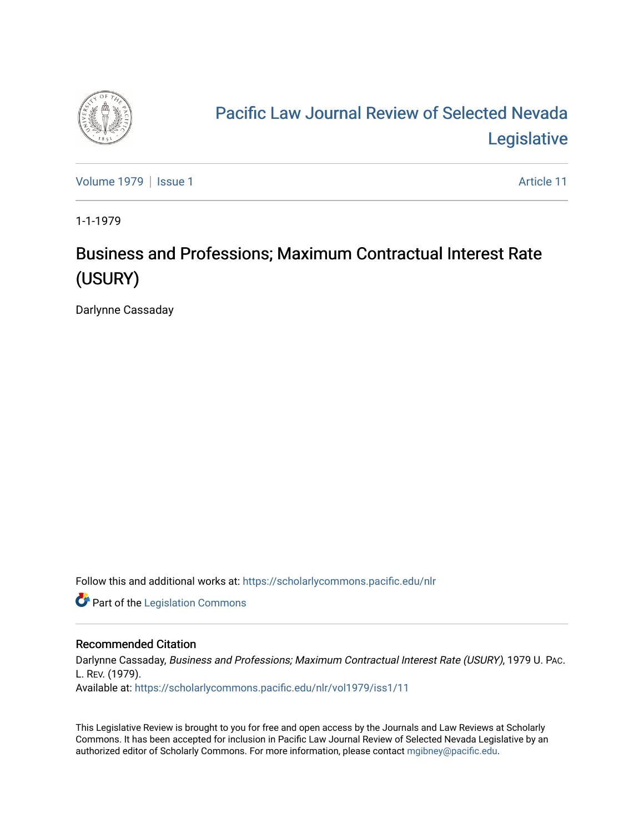

# [Pacific Law Journal Review of Selected Nevada](https://scholarlycommons.pacific.edu/nlr)  [Legislative](https://scholarlycommons.pacific.edu/nlr)

[Volume 1979](https://scholarlycommons.pacific.edu/nlr/vol1979) | [Issue 1](https://scholarlycommons.pacific.edu/nlr/vol1979/iss1) Article 11

1-1-1979

# Business and Professions; Maximum Contractual Interest Rate (USURY)

Darlynne Cassaday

Follow this and additional works at: [https://scholarlycommons.pacific.edu/nlr](https://scholarlycommons.pacific.edu/nlr?utm_source=scholarlycommons.pacific.edu%2Fnlr%2Fvol1979%2Fiss1%2F11&utm_medium=PDF&utm_campaign=PDFCoverPages) 

**Part of the [Legislation Commons](http://network.bepress.com/hgg/discipline/859?utm_source=scholarlycommons.pacific.edu%2Fnlr%2Fvol1979%2Fiss1%2F11&utm_medium=PDF&utm_campaign=PDFCoverPages)** 

## Recommended Citation

Darlynne Cassaday, Business and Professions; Maximum Contractual Interest Rate (USURY), 1979 U. PAC. L. REV. (1979). Available at: [https://scholarlycommons.pacific.edu/nlr/vol1979/iss1/11](https://scholarlycommons.pacific.edu/nlr/vol1979/iss1/11?utm_source=scholarlycommons.pacific.edu%2Fnlr%2Fvol1979%2Fiss1%2F11&utm_medium=PDF&utm_campaign=PDFCoverPages)

This Legislative Review is brought to you for free and open access by the Journals and Law Reviews at Scholarly Commons. It has been accepted for inclusion in Pacific Law Journal Review of Selected Nevada Legislative by an authorized editor of Scholarly Commons. For more information, please contact [mgibney@pacific.edu](mailto:mgibney@pacific.edu).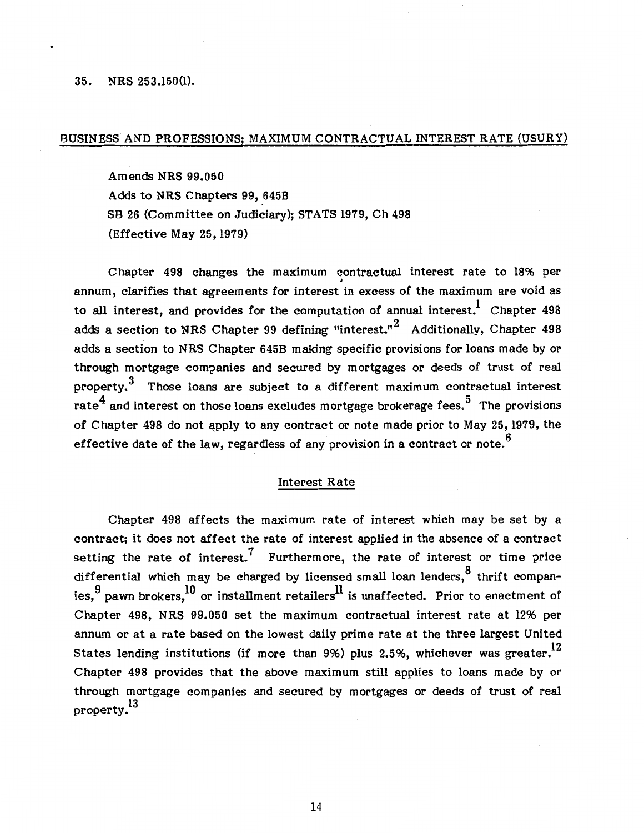#### 35. NRS 253.150(1).

### BUSINESS AND PROFESSIONS; MAXIMUM CONTRACTUAL INTEREST RATE (USURY)

Amends NRS 99.050 Adds to NRS Chapters 99, 6458 SB 26 (Committee on Judiciary); STATS 1979, Ch 498 (Effective May 25, 1979)

Chapter 498 changes the maximum contractual interest rate to 18% per annum, clarifies that agreements for interest in excess of the maximum are void as to all interest, and provides for the computation of annual interest.<sup>1</sup> Chapter 498 adds a section to NRS Chapter 99 defining "interest."<sup>2</sup> Additionally, Chapter 498 adds a section to NRS Chapter 6458 making specific provisions for loans made by or through mortgage companies and secured by mortgages or deeds of trust of real property.<sup>3</sup> Those loans are subject to a different maximum contractual interest rate<sup>4</sup> and interest on those loans excludes mortgage brokerage fees.<sup>5</sup> The provisions of Chapter 498 do not apply to any contract or note made prior to May 25, 1979, the effective date of the law, regardless of any provision in a contract or note.<sup> $6$ </sup>

### Interest Rate

Chapter 498 affects the maximum rate of interest which may be set by a contract; it does not affect the rate of interest applied in the absence of a contract setting the rate of interest.<sup>7</sup> Furthermore, the rate of interest or time price differential which may be charged by licensed small loan lenders,  $8$  thrift companies,  $^9$  pawn brokers,  $^{10}$  or installment retailers $^{\rm ll}$  is unaffected. Prior to enactment of Chapter 498, NRS 99.050 set the maximum contractual interest rate at 12% per annum or at a rate based on the lowest daily prime rate at the three largest United States lending institutions (if more than 9%) plus 2.5%, whichever was greater.<sup>12</sup> Chapter 498 provides that the above maximum still applies to loans made by or through mortgage companies and secured by mortgages or deeds of trust of real property.<sup>13</sup>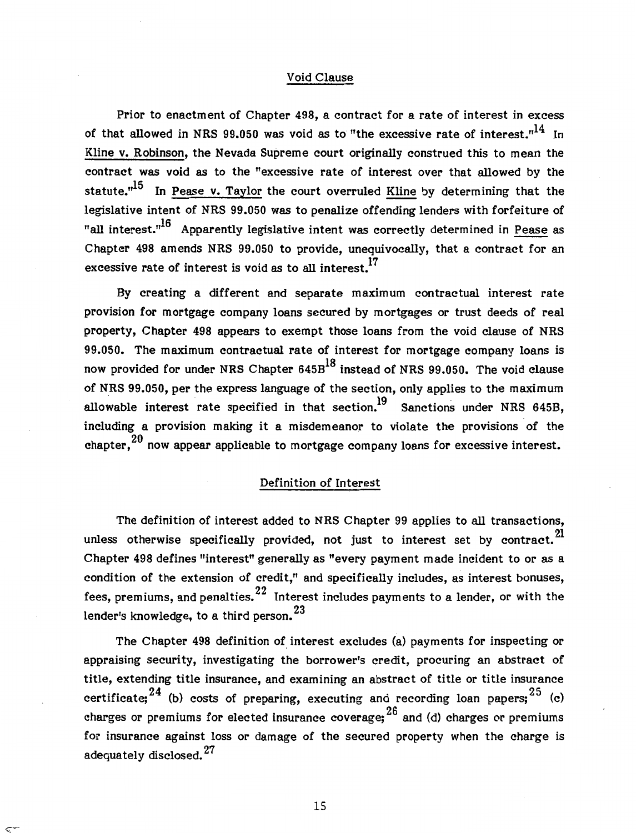### Void Clause

Prior to enactment of Chapter 498, a contract for a rate of interest in excess of that allowed in NRS 99.050 was void as to "the excessive rate of interest."<sup>14</sup> In Kline v. Robinson, the Nevada Supreme court originally construed this to mean the contract was void as to the "excessive rate of interest over that allowed by the statute. $n^{15}$  In Pease v. Taylor the court overruled Kline by determining that the legislative intent of NRS 99.050 was to penalize offending lenders with forfeiture of "all interest." $^{16}$  Apparently legislative intent was correctly determined in Pease as Chapter 498 amends NRS 99.050 to provide, unequivocally, that a contract for an excessive rate of interest is void as to all interest.<sup>17</sup>

By creating a different and separate maximum contractual interest rate provision for mortgage company loans secured by mortgages or trust deeds of real property, Chapter 498 appears to exempt those loans from the void clause of NRS 99.050. The maximum contractual rate of interest for mortgage company loans is now provided for under NRS Chapter  $645B<sup>18</sup>$  instead of NRS 99.050. The void clause of NRS 99.050, per the express language of the section, only applies to the maximum allowable interest rate specified in that section.<sup>19</sup> Sanctions under NRS 645B, including a provision making it a misdemeanor to violate the provisions of the chapter,  $^{20}$  now appear applicable to mortgage company loans for excessive interest.

#### Definition of Interest

The definition of interest added to NRS Chapter 99 applies to all transactions, unless otherwise specifically provided, not just to interest set by contract. $^{21}$ Chapter 498 defines "interest" generally as "every payment made incident to or as a condition of the extension of credit," and specifically includes, as interest bonuses, fees, premiums, and penalties.  $22$  Interest includes payments to a lender, or with the lender's knowledge, to a third person.<sup>23</sup>

The Chapter 498 definition of interest excludes (a) payments for inspecting or appraising security, investigating the borrower's credit, procuring an abstract of title, extending title insurance, and examining an abstract of title or title insurance certificate;  $24$  (b) costs of preparing, executing and recording loan papers;  $25$  (c) charges or premiums for elected insurance coverage;  $^{26}$  and (d) charges or premiums for insurance against loss or damage of the secured property when the charge is adequately disclosed.<sup>27</sup>

15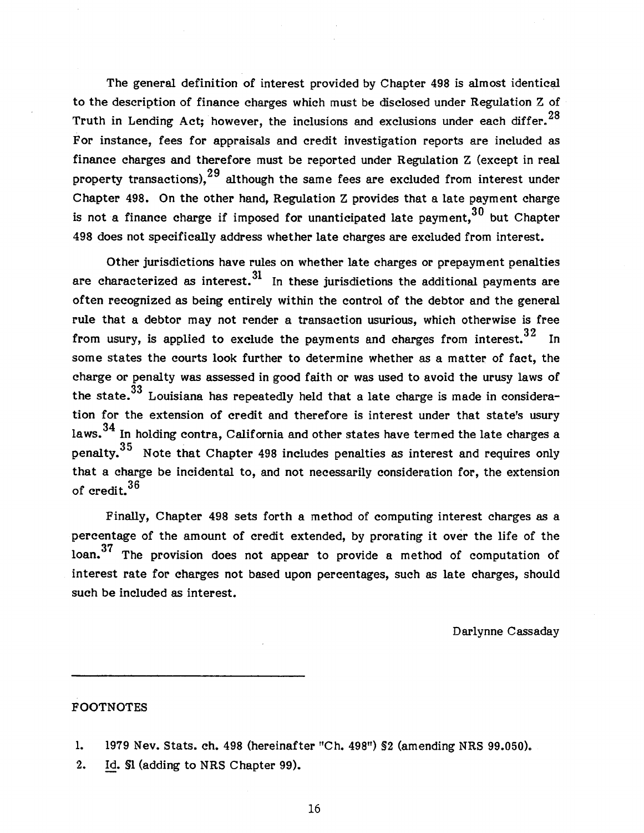The general definition of interest provided by Chapter 498 is almost identical to the description of finance charges which must be disclosed under Regulation Z of Truth in Lending Act; however, the inclusions and exclusions under each differ.<sup>28</sup> For instance, fees for appraisals and credit investigation reports are included as finance charges and therefore must be reported under Regulation Z (except in real property transactions),  $29$  although the same fees are excluded from interest under Chapter 498. On the other hand, Regulation Z provides that a late payment charge is not a finance charge if imposed for unanticipated late payment,  $30$  but Chapter 498 does not specifically address whether late charges are excluded from interest.

Other jurisdictions have rules on whether late charges or prepayment penalties are characterized as interest.  $31$  In these jurisdictions the additional payments are often recognized as being entirely within the control of the debtor and the general rule that a debtor may not render a transaction usurious, which otherwise is free from usury, is applied to exclude the payments and charges from interest.<sup>32</sup> In some states the courts look further to determine whether as a matter of fact, the charge or penalty was assessed in good faith or was used to avoid the urusy laws of the state.<sup>33</sup> Louisiana has repeatedly held that a late charge is made in consideration for the extension of credit and therefore is interest under that state's usury laws.  $34$  In holding contra, California and other states have termed the late charges a penalty.<sup>35</sup> Note that Chapter 498 includes penalties as interest and requires only that a charge be incidental to, and not necessarily consideration for, the extension of credit. 36

Finally, Chapter 498 sets forth a method of computing interest charges as a percentage of the amount of credit extended, by prorating it over the life of the loan. 37 The provision does not appear to provide a method of computation of interest rate for charges not based upon percentages, such as late charges, should such be included as interest.

Darlynne Cassaday

## FOOTNOTES

2. Id. §1 (adding to NRS Chapter 99).

16

<sup>1.</sup> 1979 Nev. Stats. ch. 498 (hereinafter "Ch. 498") §2 (amending NRS 99.050).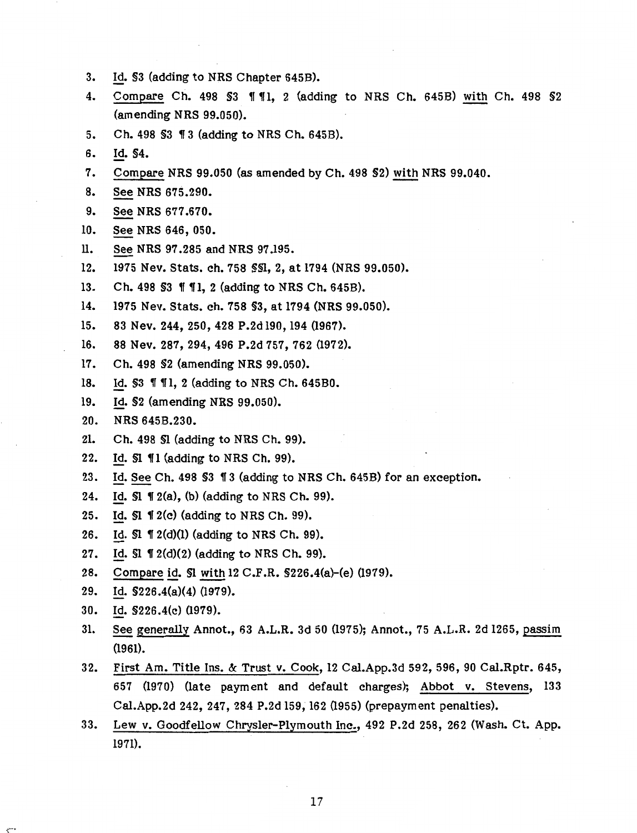- 3. Id. §3 (adding to NRS Chapter 645B).
- 4. Compare Ch. 498 \$3 || ||, 2 (adding to NRS Ch. 645B) with Ch. 498 \$2 (amending NRS 99.050).
- 5. Ch. 498 \$3 1 3 (adding to NRS Ch. 645B).
- 6. ld. §4.
- 7. Compare NRS 99.050 (as amended by Ch. 498 §2) with NRS 99.040.
- 8. See NRS 675.290.
- 9. See NRS 677.670.
- 10. See NRS 646, 050.
- ll. See NRS 97.285 and NRS 97.195.
- 12. 1975 Nev. Stats. ch. 758 §§1, 2, at 1794 (NRS 99.050).
- 13. Ch. 498 \$3 || || 1, 2 (adding to NRS Ch. 645B).
- 14. 1975 Nev. Stats. ch. 758 §3, at 1794 (NRS 99.050).
- 15. 83 Nev. 244, 250, 428 P.2d 190, 194 (1967).
- 16. 88 Nev. 287, 294, 496 P.2d 757, 762 (1972).
- 17. Ch. 498 §2 (amending NRS 99.050).
- 18. Id. \$3 111, 2 (adding to NRS Ch. 645B0.
- 19. Id. §2 (amending NRS 99.050).
- 20. NRS 645B.230.
- 21. Ch. 498 §1 (adding to NRS Ch. 99).
- 22. Id.  $SI$   $\P1$  (adding to NRS Ch. 99).
- 23. Id. See Ch. 498 \$3 13 (adding to NRS Ch. 645B) for an exception.
- 24. Id.  $\Pi$  12(a), (b) (adding to NRS Ch. 99).
- 25. Id.  $\Pi$   $2(c)$  (adding to NRS Ch. 99).
- 26. Id.  $\Pi$  1 2(d)(1) (adding to NRS Ch. 99).
- 27. Id.  $SI \nvert 12(d)(2)$  (adding to NRS Ch. 99).
- 28. Compare id. §1 with 12 C.F .R. §226.4(a)-(e) (1979).
- 29. Id. §226.4(a)(4) (1979).
- 30. Id. §226.4(c) (1979).

₹

- 31. See generally Annot., 63 A.L.R. 3d 50 (1975); Annot., 75 A.L.R. 2d 1265, passim (1961).
- 32. First Am. Title Ins. &: Trust v. Cook, 12 Cal.App.3d 592, 596, 90 Cal.Rptr. 645, 657 (1970) (late payment and default charges); Abbot v. Stevens, 133 Cal.App.2d 242, 247, 284 P.2d 159; 162 (1955) (prepayment penalties).
- 33. Lew v. Goodfellow Chrysler-Plymouth Inc., 492 P.2d 258, 262 (Wash. Ct. App. 1971).